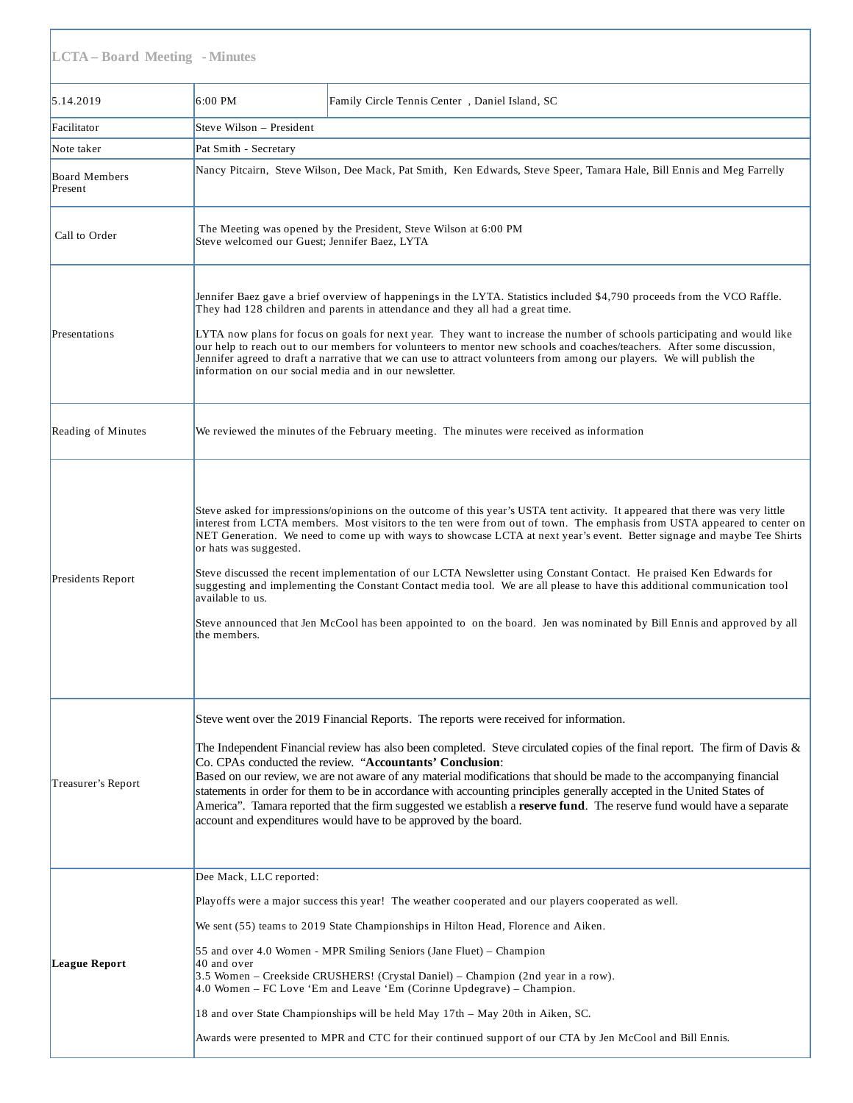| <b>LCTA-Board Meeting - Minutes</b> |                                                                                                                                                                                                                                                                                                                                                                                                                                                                                                                                                                                                                                                                                                                                                                                                                                   |                                                |  |
|-------------------------------------|-----------------------------------------------------------------------------------------------------------------------------------------------------------------------------------------------------------------------------------------------------------------------------------------------------------------------------------------------------------------------------------------------------------------------------------------------------------------------------------------------------------------------------------------------------------------------------------------------------------------------------------------------------------------------------------------------------------------------------------------------------------------------------------------------------------------------------------|------------------------------------------------|--|
| 5.14.2019                           | 6:00 PM                                                                                                                                                                                                                                                                                                                                                                                                                                                                                                                                                                                                                                                                                                                                                                                                                           | Family Circle Tennis Center, Daniel Island, SC |  |
| Facilitator                         | Steve Wilson - President                                                                                                                                                                                                                                                                                                                                                                                                                                                                                                                                                                                                                                                                                                                                                                                                          |                                                |  |
| Note taker                          | Pat Smith - Secretary                                                                                                                                                                                                                                                                                                                                                                                                                                                                                                                                                                                                                                                                                                                                                                                                             |                                                |  |
| Board Members<br>Present            | Nancy Pitcairn, Steve Wilson, Dee Mack, Pat Smith, Ken Edwards, Steve Speer, Tamara Hale, Bill Ennis and Meg Farrelly                                                                                                                                                                                                                                                                                                                                                                                                                                                                                                                                                                                                                                                                                                             |                                                |  |
| Call to Order                       | The Meeting was opened by the President, Steve Wilson at 6:00 PM<br>Steve welcomed our Guest; Jennifer Baez, LYTA                                                                                                                                                                                                                                                                                                                                                                                                                                                                                                                                                                                                                                                                                                                 |                                                |  |
| Presentations                       | Jennifer Baez gave a brief overview of happenings in the LYTA. Statistics included \$4,790 proceeds from the VCO Raffle.<br>They had 128 children and parents in attendance and they all had a great time.<br>LYTA now plans for focus on goals for next year. They want to increase the number of schools participating and would like<br>our help to reach out to our members for volunteers to mentor new schools and coaches/teachers. After some discussion,<br>Jennifer agreed to draft a narrative that we can use to attract volunteers from among our players. We will publish the<br>information on our social media and in our newsletter.                                                                                                                                                                             |                                                |  |
| Reading of Minutes                  | We reviewed the minutes of the February meeting. The minutes were received as information                                                                                                                                                                                                                                                                                                                                                                                                                                                                                                                                                                                                                                                                                                                                         |                                                |  |
| Presidents Report                   | Steve asked for impressions/opinions on the outcome of this year's USTA tent activity. It appeared that there was very little<br>interest from LCTA members. Most visitors to the ten were from out of town. The emphasis from USTA appeared to center on<br>NET Generation. We need to come up with ways to showcase LCTA at next year's event. Better signage and maybe Tee Shirts<br>or hats was suggested.<br>Steve discussed the recent implementation of our LCTA Newsletter using Constant Contact. He praised Ken Edwards for<br>suggesting and implementing the Constant Contact media tool. We are all please to have this additional communication tool<br>available to us.<br>Steve announced that Jen McCool has been appointed to on the board. Jen was nominated by Bill Ennis and approved by all<br>the members. |                                                |  |
| Treasurer's Report                  | Steve went over the 2019 Financial Reports. The reports were received for information.<br>The Independent Financial review has also been completed. Steve circulated copies of the final report. The firm of Davis &<br>Co. CPAs conducted the review. "Accountants' Conclusion:<br>Based on our review, we are not aware of any material modifications that should be made to the accompanying financial<br>statements in order for them to be in accordance with accounting principles generally accepted in the United States of<br>America". Tamara reported that the firm suggested we establish a reserve fund. The reserve fund would have a separate<br>account and expenditures would have to be approved by the board.                                                                                                  |                                                |  |
| League Report                       | Dee Mack, LLC reported:<br>Playoffs were a major success this year! The weather cooperated and our players cooperated as well.<br>We sent (55) teams to 2019 State Championships in Hilton Head, Florence and Aiken.<br>55 and over 4.0 Women - MPR Smiling Seniors (Jane Fluet) – Champion<br>40 and over<br>3.5 Women - Creekside CRUSHERS! (Crystal Daniel) - Champion (2nd year in a row).<br>4.0 Women – FC Love 'Em and Leave 'Em (Corinne Updegrave) – Champion.<br>18 and over State Championships will be held May 17th - May 20th in Aiken, SC.<br>Awards were presented to MPR and CTC for their continued support of our CTA by Jen McCool and Bill Ennis.                                                                                                                                                            |                                                |  |

6/11/2019 SRW Revision LCTA Meeting Minutes 051419 (2).docx